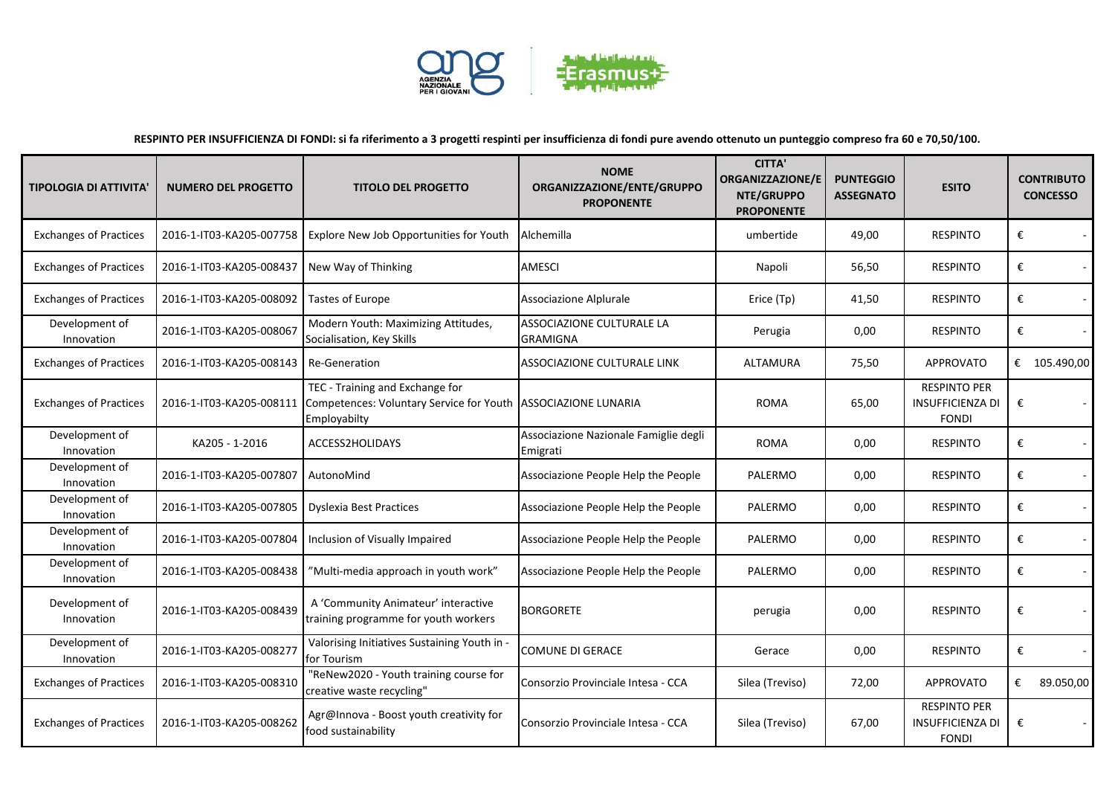

**RESPINTO PER INSUFFICIENZA DI FONDI: si fa riferimento a 3 progetti respinti per insufficienza di fondi pure avendo ottenuto un punteggio compreso fra 60 e 70,50/100.**

| <b>TIPOLOGIA DI ATTIVITA</b>  | <b>NUMERO DEL PROGETTO</b> | <b>TITOLO DEL PROGETTO</b>                                                                  | <b>NOME</b><br>ORGANIZZAZIONE/ENTE/GRUPPO<br><b>PROPONENTE</b> | <b>CITTA'</b><br><b>ORGANIZZAZIONE/E</b><br>NTE/GRUPPO<br><b>PROPONENTE</b> | <b>PUNTEGGIO</b><br><b>ASSEGNATO</b> | <b>ESITO</b>                                                   |   | <b>CONTRIBUTO</b><br><b>CONCESSO</b> |
|-------------------------------|----------------------------|---------------------------------------------------------------------------------------------|----------------------------------------------------------------|-----------------------------------------------------------------------------|--------------------------------------|----------------------------------------------------------------|---|--------------------------------------|
| <b>Exchanges of Practices</b> | 2016-1-IT03-KA205-007758   | Explore New Job Opportunities for Youth                                                     | Alchemilla                                                     | umbertide                                                                   | 49,00                                | <b>RESPINTO</b>                                                | € |                                      |
| <b>Exchanges of Practices</b> | 2016-1-IT03-KA205-008437   | New Way of Thinking                                                                         | <b>AMESCI</b>                                                  | Napoli                                                                      | 56,50                                | <b>RESPINTO</b>                                                | € |                                      |
| <b>Exchanges of Practices</b> | 2016-1-IT03-KA205-008092   | Tastes of Europe                                                                            | Associazione Alplurale                                         | Erice (Tp)                                                                  | 41,50                                | <b>RESPINTO</b>                                                | € |                                      |
| Development of<br>Innovation  | 2016-1-IT03-KA205-008067   | Modern Youth: Maximizing Attitudes,<br>Socialisation, Key Skills                            | <b>ASSOCIAZIONE CULTURALE LA</b><br><b>GRAMIGNA</b>            | Perugia                                                                     | 0,00                                 | <b>RESPINTO</b>                                                | € |                                      |
| <b>Exchanges of Practices</b> | 2016-1-IT03-KA205-008143   | <b>Re-Generation</b>                                                                        | ASSOCIAZIONE CULTURALE LINK                                    | ALTAMURA                                                                    | 75,50                                | <b>APPROVATO</b>                                               |   | € 105.490,00                         |
| <b>Exchanges of Practices</b> | 2016-1-IT03-KA205-008111   | TEC - Training and Exchange for<br>Competences: Voluntary Service for Youth<br>Employabilty | <b>ASSOCIAZIONE LUNARIA</b>                                    | <b>ROMA</b>                                                                 | 65,00                                | <b>RESPINTO PER</b><br><b>INSUFFICIENZA DI</b><br><b>FONDI</b> | € |                                      |
| Development of<br>Innovation  | KA205 - 1-2016             | ACCESS2HOLIDAYS                                                                             | Associazione Nazionale Famiglie degli<br>Emigrati              | ROMA                                                                        | 0,00                                 | <b>RESPINTO</b>                                                | € |                                      |
| Development of<br>Innovation  | 2016-1-IT03-KA205-007807   | AutonoMind                                                                                  | Associazione People Help the People                            | PALERMO                                                                     | 0,00                                 | <b>RESPINTO</b>                                                | € |                                      |
| Development of<br>Innovation  | 2016-1-IT03-KA205-007805   | <b>Dyslexia Best Practices</b>                                                              | Associazione People Help the People                            | PALERMO                                                                     | 0,00                                 | <b>RESPINTO</b>                                                | € |                                      |
| Development of<br>Innovation  | 2016-1-IT03-KA205-007804   | Inclusion of Visually Impaired                                                              | Associazione People Help the People                            | PALERMO                                                                     | 0,00                                 | <b>RESPINTO</b>                                                | € | $\sim$                               |
| Development of<br>Innovation  | 2016-1-IT03-KA205-008438   | "Multi-media approach in youth work"                                                        | Associazione People Help the People                            | PALERMO                                                                     | 0,00                                 | <b>RESPINTO</b>                                                | € |                                      |
| Development of<br>Innovation  | 2016-1-IT03-KA205-008439   | A 'Community Animateur' interactive<br>training programme for youth workers                 | <b>BORGORETE</b>                                               | perugia                                                                     | 0,00                                 | <b>RESPINTO</b>                                                | € |                                      |
| Development of<br>Innovation  | 2016-1-IT03-KA205-008277   | Valorising Initiatives Sustaining Youth in -<br>for Tourism                                 | <b>COMUNE DI GERACE</b>                                        | Gerace                                                                      | 0,00                                 | <b>RESPINTO</b>                                                | € |                                      |
| <b>Exchanges of Practices</b> | 2016-1-IT03-KA205-008310   | "ReNew2020 - Youth training course for<br>creative waste recycling"                         | Consorzio Provinciale Intesa - CCA                             | Silea (Treviso)                                                             | 72,00                                | <b>APPROVATO</b>                                               | € | 89.050,00                            |
| <b>Exchanges of Practices</b> | 2016-1-IT03-KA205-008262   | Agr@Innova - Boost youth creativity for<br>food sustainability                              | Consorzio Provinciale Intesa - CCA                             | Silea (Treviso)                                                             | 67,00                                | <b>RESPINTO PER</b><br><b>INSUFFICIENZA DI</b><br><b>FONDI</b> | € |                                      |